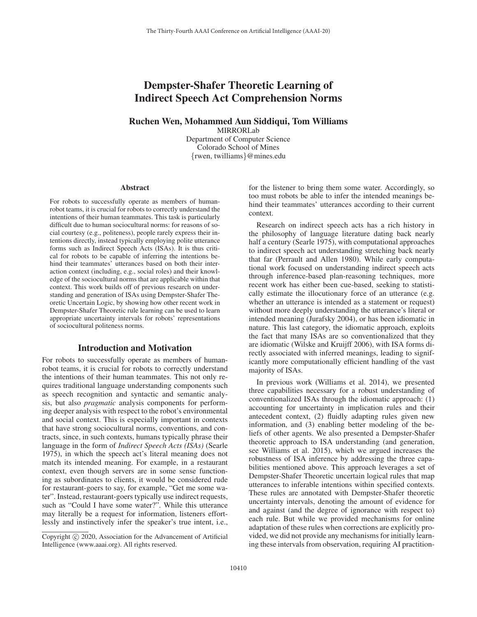# Dempster-Shafer Theoretic Learning of Indirect Speech Act Comprehension Norms

Ruchen Wen, Mohammed Aun Siddiqui, Tom Williams

MIRRORLab

Department of Computer Science Colorado School of Mines {rwen, twilliams}@mines.edu

#### **Abstract**

For robots to successfully operate as members of humanrobot teams, it is crucial for robots to correctly understand the intentions of their human teammates. This task is particularly difficult due to human sociocultural norms: for reasons of social courtesy (e.g., politeness), people rarely express their intentions directly, instead typically employing polite utterance forms such as Indirect Speech Acts (ISAs). It is thus critical for robots to be capable of inferring the intentions behind their teammates' utterances based on both their interaction context (including, e.g., social roles) and their knowledge of the sociocultural norms that are applicable within that context. This work builds off of previous research on understanding and generation of ISAs using Dempster-Shafer Theoretic Uncertain Logic, by showing how other recent work in Dempster-Shafer Theoretic rule learning can be used to learn appropriate uncertainty intervals for robots' representations of sociocultural politeness norms.

# Introduction and Motivation

For robots to successfully operate as members of humanrobot teams, it is crucial for robots to correctly understand the intentions of their human teammates. This not only requires traditional language understanding components such as speech recognition and syntactic and semantic analysis, but also *pragmatic* analysis components for performing deeper analysis with respect to the robot's environmental and social context. This is especially important in contexts that have strong sociocultural norms, conventions, and contracts, since, in such contexts, humans typically phrase their language in the form of *Indirect Speech Acts (ISAs)* (Searle 1975), in which the speech act's literal meaning does not match its intended meaning. For example, in a restaurant context, even though servers are in some sense functioning as subordinates to clients, it would be considered rude for restaurant-goers to say, for example, "Get me some water". Instead, restaurant-goers typically use indirect requests, such as "Could I have some water?". While this utterance may literally be a request for information, listeners effortlessly and instinctively infer the speaker's true intent, i.e.,

for the listener to bring them some water. Accordingly, so too must robots be able to infer the intended meanings behind their teammates' utterances according to their current context.

Research on indirect speech acts has a rich history in the philosophy of language literature dating back nearly half a century (Searle 1975), with computational approaches to indirect speech act understanding stretching back nearly that far (Perrault and Allen 1980). While early computational work focused on understanding indirect speech acts through inference-based plan-reasoning techniques, more recent work has either been cue-based, seeking to statistically estimate the illocutionary force of an utterance (e.g. whether an utterance is intended as a statement or request) without more deeply understanding the utterance's literal or intended meaning (Jurafsky 2004), or has been idiomatic in nature. This last category, the idiomatic approach, exploits the fact that many ISAs are so conventionalized that they are idiomatic (Wilske and Kruijff 2006), with ISA forms directly associated with inferred meanings, leading to significantly more computationally efficient handling of the vast majority of ISAs.

In previous work (Williams et al. 2014), we presented three capabilities necessary for a robust understanding of conventionalized ISAs through the idiomatic approach: (1) accounting for uncertainty in implication rules and their antecedent context, (2) fluidly adapting rules given new information, and (3) enabling better modeling of the beliefs of other agents. We also presented a Dempster-Shafer theoretic approach to ISA understanding (and generation, see Williams et al. 2015), which we argued increases the robustness of ISA inference by addressing the three capabilities mentioned above. This approach leverages a set of Dempster-Shafer Theoretic uncertain logical rules that map utterances to inferable intentions within specified contexts. These rules are annotated with Dempster-Shafer theoretic uncertainty intervals, denoting the amount of evidence for and against (and the degree of ignorance with respect to) each rule. But while we provided mechanisms for online adaptation of these rules when corrections are explicitly provided, we did not provide any mechanisms for initially learning these intervals from observation, requiring AI practition-

Copyright  $\odot$  2020, Association for the Advancement of Artificial Intelligence (www.aaai.org). All rights reserved.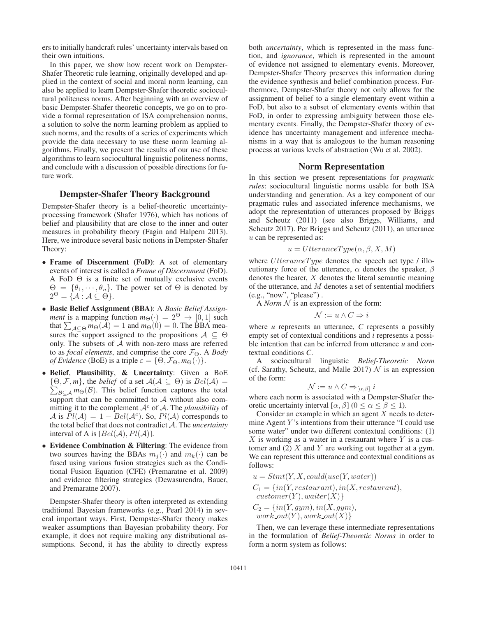ers to initially handcraft rules' uncertainty intervals based on their own intuitions.

In this paper, we show how recent work on Dempster-Shafer Theoretic rule learning, originally developed and applied in the context of social and moral norm learning, can also be applied to learn Dempster-Shafer theoretic sociocultural politeness norms. After beginning with an overview of basic Dempster-Shafer theoretic concepts, we go on to provide a formal representation of ISA comprehension norms, a solution to solve the norm learning problem as applied to such norms, and the results of a series of experiments which provide the data necessary to use these norm learning algorithms. Finally, we present the results of our use of these algorithms to learn sociocultural linguistic politeness norms, and conclude with a discussion of possible directions for future work.

### Dempster-Shafer Theory Background

Dempster-Shafer theory is a belief-theoretic uncertaintyprocessing framework (Shafer 1976), which has notions of belief and plausibility that are close to the inner and outer measures in probability theory (Fagin and Halpern 2013). Here, we introduce several basic notions in Dempster-Shafer Theory:

- Frame of Discernment (FoD): A set of elementary events of interest is called a *Frame of Discernment* (FoD). A FoD  $\Theta$  is a finite set of mutually exclusive events  $\Theta = {\theta_1, \dots, \theta_n}$ . The power set of  $\Theta$  is denoted by  $2^{\Theta} = {\mathcal{A} : \mathcal{A} \subseteq \Theta}.$
- Basic Belief Assignment (BBA): A *Basic Belief Assignment* is a mapping function  $m_{\Theta}(\cdot) = 2^{\Theta} \rightarrow [0, 1]$  such that  $\sum_{A \subseteq \Theta} m_{\Theta}(A) = 1$  and  $m_{\Theta}(0) = 0$ . The BBA measures the support assigned to the propositions  $A \subseteq \Theta$ only. The subsets of A with non-zero mass are referred to as *focal elements*, and comprise the core  $\mathcal{F}_{\Theta}$ . A *Body of Evidence* (BoE) is a triple  $\varepsilon = \{\Theta, \mathcal{F}_{\Theta}, m_{\Theta}(\cdot)\}.$
- Belief, Plausibility, & Uncertainty: Given a BoE  $\{\Theta, \mathcal{F}, m\}$ , the *belief* of a set  $\mathcal{A}(\mathcal{A} \subseteq \Theta)$  is  $Bel(\mathcal{A}) =$  $\sum_{\mathcal{B}\subseteq \mathcal{A}} m_{\Theta}(\mathcal{B})$ . This belief function captures the total support that can be committed to  $A$  without also committing it to the complement  $A^c$  of A. The *plausibility* of A is  $Pl(A) = 1 - Bel(A<sup>c</sup>)$ . So,  $Pl(A)$  corresponds to the total belief that does not contradict A. The *uncertainty* interval of A is  $[Bel(\mathcal{A}), Pl(\mathcal{A})].$
- Evidence Combination & Filtering: The evidence from two sources having the BBAs  $m_i(\cdot)$  and  $m_k(\cdot)$  can be fused using various fusion strategies such as the Conditional Fusion Equation (CFE) (Premaratne et al. 2009) and evidence filtering strategies (Dewasurendra, Bauer, and Premaratne 2007).

Dempster-Shafer theory is often interpreted as extending traditional Bayesian frameworks (e.g., Pearl 2014) in several important ways. First, Dempster-Shafer theory makes weaker assumptions than Bayesian probability theory. For example, it does not require making any distributional assumptions. Second, it has the ability to directly express

both *uncertainty*, which is represented in the mass function, and *ignorance*, which is represented in the amount of evidence not assigned to elementary events. Moreover, Dempster-Shafer Theory preserves this information during the evidence synthesis and belief combination process. Furthermore, Dempster-Shafer theory not only allows for the assignment of belief to a single elementary event within a FoD, but also to a subset of elementary events within that FoD, in order to expressing ambiguity between those elementary events. Finally, the Dempster-Shafer theory of evidence has uncertainty management and inference mechanisms in a way that is analogous to the human reasoning process at various levels of abstraction (Wu et al. 2002).

### Norm Representation

In this section we present representations for *pragmatic rules*: sociocultural linguistic norms usable for both ISA understanding and generation. As a key component of our pragmatic rules and associated inference mechanisms, we adopt the representation of utterances proposed by Briggs and Scheutz (2011) (see also Briggs, Williams, and Scheutz 2017). Per Briggs and Scheutz (2011), an utterance u can be represented as:

$$
u = UtteranceType(\alpha, \beta, X, M)
$$

where  $U$ tterance $Type$  denotes the speech act type / illocutionary force of the utterance,  $\alpha$  denotes the speaker,  $\beta$ denotes the hearer,  $X$  denotes the literal semantic meaning of the utterance, and  $M$  denotes a set of sentential modifiers (e.g., "now", "please") .

A *Norm*  $N$  is an expression of the form:

$$
\mathcal{N} := u \wedge C \Rightarrow i
$$

where *u* represents an utterance, *C* represents a possibly empty set of contextual conditions and *i* represents a possible intention that can be inferred from utterance *u* and contextual conditions *C*.

A sociocultural linguistic *Belief-Theoretic Norm* (cf. Sarathy, Scheutz, and Malle 2017)  $\mathcal N$  is an expression of the form:

$$
\mathcal{N} := u \wedge C \Rightarrow_{[\alpha,\beta]} i
$$

where each norm is associated with a Dempster-Shafer theoretic uncertainty interval  $[\alpha, \beta]$   $(0 \le \alpha \le \beta \le 1)$ .

Consider an example in which an agent  $X$  needs to determine Agent  $Y$ 's intentions from their utterance "I could use some water" under two different contextual conditions: (1) X is working as a waiter in a restaurant where  $Y$  is a customer and  $(2)$  X and Y are working out together at a gym. We can represent this utterance and contextual conditions as follows:

$$
u = Stmt(Y, X, could (use(Y, water))
$$
  
\n
$$
C_1 = \{in(Y, restaurant), in(X, restaurant),
$$
  
\n
$$
customer(Y), waiter(X)\}
$$

$$
C_2 = \{in(Y, gym), in(X, gym),\,
$$

$$
work\_out(Y), work\_out(X)\}
$$

Then, we can leverage these intermediate representations in the formulation of *Belief-Theoretic Norms* in order to form a norm system as follows: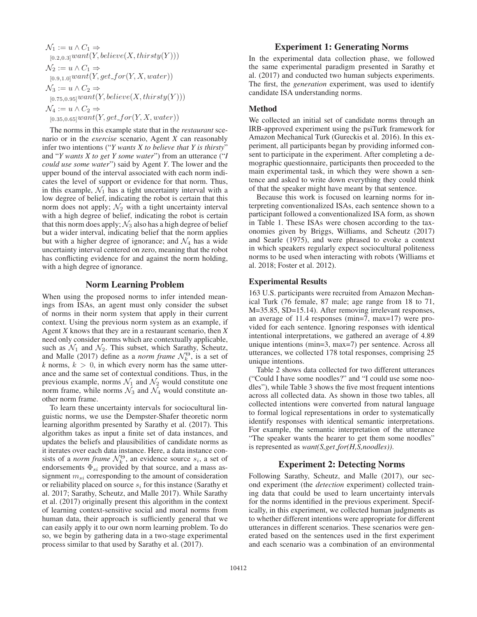$\mathcal{N}_1 := u \wedge C_1 \Rightarrow$  $_{[0.2,0.3]}$ want $(Y,$  believe $(X,$  thirsty $(Y)))$  $\mathcal{N}_2 := u \wedge C_1 \Rightarrow$  $_{[0.9,1.0]}$ want $(Y, get\_for(Y, X, water))$  $\mathcal{N}_3 := u \wedge C_2 \Rightarrow$  $_{[0.75,0.95]}$ want $(Y,$  believe $(X,$  thirsty $(Y))$ )  $\mathcal{N}_4 := u \wedge C_2 \Rightarrow$  $_{[0.35,0.65]} want(Y, get\_for(Y, X, water))$ 

The norms in this example state that in the *restaurant* scenario or in the *exercise* scenario, Agent *X* can reasonably infer two intentions ("*Y wants X to believe that Y is thirsty*" and "*Y wants X to get Y some water*") from an utterance ("*I could use some water*") said by Agent *Y*. The lower and the upper bound of the interval associated with each norm indicates the level of support or evidence for that norm. Thus, in this example,  $\mathcal{N}_1$  has a tight uncertainty interval with a low degree of belief, indicating the robot is certain that this norm does not apply;  $\mathcal{N}_2$  with a tight uncertainty interval with a high degree of belief, indicating the robot is certain that this norm does apply;  $\mathcal{N}_3$  also has a high degree of belief but a wider interval, indicating belief that the norm applies but with a higher degree of ignorance; and  $\mathcal{N}_4$  has a wide uncertainty interval centered on zero, meaning that the robot has conflicting evidence for and against the norm holding, with a high degree of ignorance.

# Norm Learning Problem

When using the proposed norms to infer intended meanings from ISAs, an agent must only consider the subset of norms in their norm system that apply in their current context. Using the previous norm system as an example, if Agent *X* knows that they are in a restaurant scenario, then *X* need only consider norms which are contextually applicable, such as  $\mathcal{N}_1$  and  $\mathcal{N}_2$ . This subset, which Sarathy, Scheutz, and Malle (2017) define as a *norm frame*  $\mathcal{N}_k^{\Theta}$ , is a set of  $k$  norms,  $k > 0$ , in which every norm has the same utterance and the same set of contextual conditions. Thus, in the previous example, norms  $\mathcal{N}_1$  and  $\mathcal{N}_2$  would constitute one norm frame, while norms  $\mathcal{N}_3$  and  $\mathcal{N}_4$  would constitute another norm frame.

To learn these uncertainty intervals for sociocultural linguistic norms, we use the Dempster-Shafer theoretic norm learning algorithm presented by Sarathy et al. (2017). This algorithm takes as input a finite set of data instances, and updates the beliefs and plausibilities of candidate norms as it iterates over each data instance. Here, a data instance consists of a *norm frame*  $\mathcal{N}_k^{\Theta}$ , an evidence source  $s_i$ , a set of endorsements  $\Phi_{si}$  provided by that source, and a mass assignment  $m_{si}$  corresponding to the amount of consideration or reliability placed on source  $s_i$  for this instance (Sarathy et al. 2017; Sarathy, Scheutz, and Malle 2017). While Sarathy et al. (2017) originally present this algorithm in the context of learning context-sensitive social and moral norms from human data, their approach is sufficiently general that we can easily apply it to our own norm learning problem. To do so, we begin by gathering data in a two-stage experimental process similar to that used by Sarathy et al. (2017).

# Experiment 1: Generating Norms

In the experimental data collection phase, we followed the same experimental paradigm presented in Sarathy et al. (2017) and conducted two human subjects experiments. The first, the *generation* experiment, was used to identify candidate ISA understanding norms.

### Method

We collected an initial set of candidate norms through an IRB-approved experiment using the psiTurk framework for Amazon Mechanical Turk (Gureckis et al. 2016). In this experiment, all participants began by providing informed consent to participate in the experiment. After completing a demographic questionnaire, participants then proceeded to the main experimental task, in which they were shown a sentence and asked to write down everything they could think of that the speaker might have meant by that sentence.

Because this work is focused on learning norms for interpreting conventionalized ISAs, each sentence shown to a participant followed a conventionalized ISA form, as shown in Table 1. These ISAs were chosen according to the taxonomies given by Briggs, Williams, and Scheutz (2017) and Searle (1975), and were phrased to evoke a context in which speakers regularly expect sociocultural politeness norms to be used when interacting with robots (Williams et al. 2018; Foster et al. 2012).

# Experimental Results

163 U.S. participants were recruited from Amazon Mechanical Turk (76 female, 87 male; age range from 18 to 71, M=35.85, SD=15.14). After removing irrelevant responses, an average of 11.4 responses (min=7, max=17) were provided for each sentence. Ignoring responses with identical intentional interpretations, we gathered an average of 4.89 unique intentions (min=3, max=7) per sentence. Across all utterances, we collected 178 total responses, comprising 25 unique intentions.

Table 2 shows data collected for two different utterances ("Could I have some noodles?" and "I could use some noodles"), while Table 3 shows the five most frequent intentions across all collected data. As shown in those two tables, all collected intentions were converted from natural language to formal logical representations in order to systematically identify responses with identical semantic interpretations. For example, the semantic interpretation of the utterance "The speaker wants the hearer to get them some noodles" is represented as *want(S,get for(H,S,noodles))*.

# Experiment 2: Detecting Norms

Following Sarathy, Scheutz, and Malle (2017), our second experiment (the *detection* experiment) collected training data that could be used to learn uncertainty intervals for the norms identified in the previous experiment. Specifically, in this experiment, we collected human judgments as to whether different intentions were appropriate for different utterances in different scenarios. These scenarios were generated based on the sentences used in the first experiment and each scenario was a combination of an environmental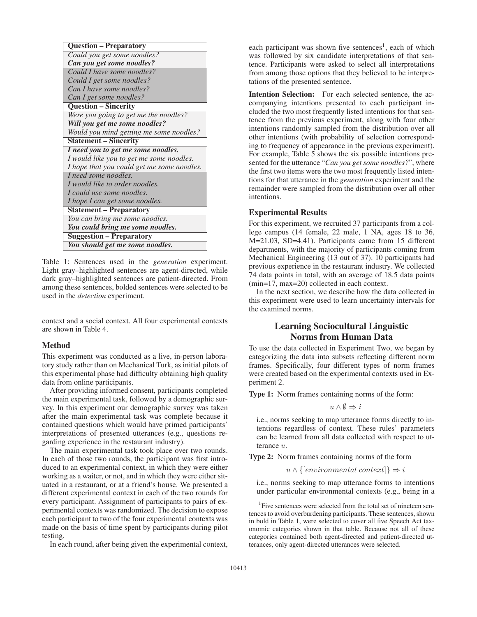| <b>Question – Preparatory</b>              |
|--------------------------------------------|
| Could you get some noodles?                |
| Can you get some noodles?                  |
| Could I have some noodles?                 |
| Could I get some noodles?                  |
| Can I have some noodles?                   |
| Can I get some noodles?                    |
| <b>Question - Sincerity</b>                |
| Were you going to get me the noodles?      |
| Will you get me some noodles?              |
| Would you mind getting me some noodles?    |
| <b>Statement – Sincerity</b>               |
| I need you to get me some noodles.         |
| I would like you to get me some noodles.   |
| I hope that you could get me some noodles. |
| I need some noodles.                       |
| I would like to order noodles.             |
| I could use some noodles.                  |
| I hope I can get some noodles.             |
| <b>Statement – Preparatory</b>             |
| You can bring me some noodles.             |
| You could bring me some noodles.           |
| <b>Suggestion – Preparatory</b>            |
| You should get me some noodles.            |

Table 1: Sentences used in the *generation* experiment. Light gray–highlighted sentences are agent-directed, while dark gray–highlighted sentences are patient-directed. From among these sentences, bolded sentences were selected to be used in the *detection* experiment.

context and a social context. All four experimental contexts are shown in Table 4.

### Method

This experiment was conducted as a live, in-person laboratory study rather than on Mechanical Turk, as initial pilots of this experimental phase had difficulty obtaining high quality data from online participants.

After providing informed consent, participants completed the main experimental task, followed by a demographic survey. In this experiment our demographic survey was taken after the main experimental task was complete because it contained questions which would have primed participants' interpretations of presented utterances (e.g., questions regarding experience in the restaurant industry).

The main experimental task took place over two rounds. In each of those two rounds, the participant was first introduced to an experimental context, in which they were either working as a waiter, or not, and in which they were either situated in a restaurant, or at a friend's house. We presented a different experimental context in each of the two rounds for every participant. Assignment of participants to pairs of experimental contexts was randomized. The decision to expose each participant to two of the four experimental contexts was made on the basis of time spent by participants during pilot testing.

In each round, after being given the experimental context,

each participant was shown five sentences<sup>1</sup>, each of which was followed by six candidate interpretations of that sentence. Participants were asked to select all interpretations from among those options that they believed to be interpretations of the presented sentence.

Intention Selection: For each selected sentence, the accompanying intentions presented to each participant included the two most frequently listed intentions for that sentence from the previous experiment, along with four other intentions randomly sampled from the distribution over all other intentions (with probability of selection corresponding to frequency of appearance in the previous experiment). For example, Table 5 shows the six possible intentions presented for the utterance "*Can you get some noodles?*", where the first two items were the two most frequently listed intentions for that utterance in the *generation* experiment and the remainder were sampled from the distribution over all other intentions.

### Experimental Results

For this experiment, we recruited 37 participants from a college campus (14 female, 22 male, 1 NA, ages 18 to 36, M=21.03, SD=4.41). Participants came from 15 different departments, with the majority of participants coming from Mechanical Engineering (13 out of 37). 10 participants had previous experience in the restaurant industry. We collected 74 data points in total, with an average of 18.5 data points (min=17, max=20) collected in each context.

In the next section, we describe how the data collected in this experiment were used to learn uncertainty intervals for the examined norms.

# Learning Sociocultural Linguistic Norms from Human Data

To use the data collected in Experiment Two, we began by categorizing the data into subsets reflecting different norm frames. Specifically, four different types of norm frames were created based on the experimental contexts used in Experiment 2.

Type 1: Norm frames containing norms of the form:

$$
u \wedge \emptyset \Rightarrow i
$$

i.e., norms seeking to map utterance forms directly to intentions regardless of context. These rules' parameters can be learned from all data collected with respect to utterance u.

Type 2: Norm frames containing norms of the form

 $u \wedge \{[environmental context]\} \Rightarrow i$ 

i.e., norms seeking to map utterance forms to intentions under particular environmental contexts (e.g., being in a

<sup>&</sup>lt;sup>1</sup>Five sentences were selected from the total set of nineteen sentences to avoid overburdening participants. These sentences, shown in bold in Table 1, were selected to cover all five Speech Act taxonomic categories shown in that table. Because not all of these categories contained both agent-directed and patient-directed utterances, only agent-directed utterances were selected.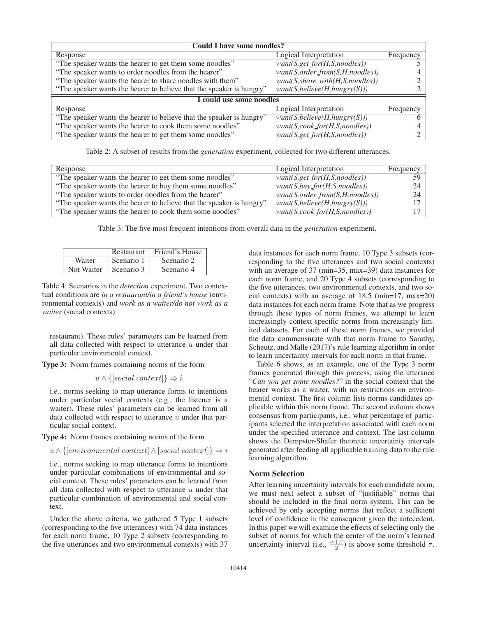| <b>Could I have some noodles?</b>                                    |                                              |           |
|----------------------------------------------------------------------|----------------------------------------------|-----------|
| Response                                                             | Logical Interpretation                       | Frequency |
| "The speaker wants the hearer to get them some noodles"              | $want(S, get\_for(H, S,$ <i>noodles</i> $))$ |           |
| "The speaker wants to order noodles from the hearer"                 | $want(S, order\_from(S, H, noodles))$        |           |
| "The speaker wants the hearer to share noodles with them"            | $want(S, share\_with(H, S, noodes))$         |           |
| "The speaker wants the hearer to believe that the speaker is hungry" | want(S, believe(H, hungry(S)))               |           |
| I could use some noodles                                             |                                              |           |
| Response                                                             | Logical Interpretation                       | Frequency |
| "The speaker wants the hearer to believe that the speaker is hungry" | want(S, believe(H, hungry(S)))               | h         |
| "The speaker wants the hearer to cook them some noodles"             | $want(S, cosk\_for(H, S, noodes))$           |           |
| "The speaker wants the hearer to get them some noodles"              | $want(S, get\_for(H, S, noodes))$            |           |

Table 2: A subset of results from the *generation* experiment, collected for two different utterances.

| Response                                                             | Logical Interpretation               | Frequency |
|----------------------------------------------------------------------|--------------------------------------|-----------|
| "The speaker wants the hearer to get them some noodles"              | $want(S, get\_for(H, S, noodes))$    | 59.       |
| "The speaker wants the hearer to buy them some noodles"              | $want(S, buy\_for(H, S, noodes))$    | 24        |
| "The speaker wants to order noodles from the hearer"                 | $want(S, order\_from(S, H, noodes))$ | 24        |
| "The speaker wants the hearer to believe that the speaker is hungry" | want(S, believe(H, hungr)(S)))       |           |
| "The speaker wants the hearer to cook them some noodles"             | $want(S, cosk\_for(H, S, noodes))$   |           |

Table 3: The five most frequent intentions from overall data in the *generation* experiment.

|            | Restaurant | Friend's House |
|------------|------------|----------------|
| Waiter     | Scenario 1 | Scenario 2     |
| Not Waiter | Scenario 3 | Scenario 4     |

Table 4: Scenarios in the *detection* experiment. Two contextual conditions are *in a restaurant/in a friend's house* (environmental contexts) and *work as a waiter/do not work as a waiter* (social contexts).

restaurant). These rules' parameters can be learned from all data collected with respect to utterance  $u$  under that particular environmental context.

Type 3: Norm frames containing norms of the form

$$
u \wedge \{[social\ context]\} \Rightarrow i
$$

i.e., norms seeking to map utterance forms to intentions under particular social contexts (e.g., the listener is a waiter). These rules' parameters can be learned from all data collected with respect to utterance  $u$  under that particular social context.

Type 4: Norm frames containing norms of the form

 $u \wedge \{$ environmental context $\wedge$  [social context]}  $\Rightarrow$  i

i.e., norms seeking to map utterance forms to intentions under particular combinations of environmental and social context. These rules' parameters can be learned from all data collected with respect to utterance  $u$  under that particular combination of environmental and social context.

Under the above criteria, we gathered 5 Type 1 subsets (corresponding to the five utterances) with 74 data instances for each norm frame, 10 Type 2 subsets (corresponding to the five utterances and two environmental contexts) with 37

data instances for each norm frame, 10 Type 3 subsets (corresponding to the five utterances and two social contexts) with an average of 37 (min=35, max=39) data instances for each norm frame, and 20 Type 4 subsets (corresponding to the five utterances, two environmental contexts, and two social contexts) with an average of 18.5 (min=17, max=20) data instances for each norm frame. Note that as we progress through these types of norm frames, we attempt to learn increasingly context-specific norms from increasingly limited datasets. For each of these norm frames, we provided the data commensurate with that norm frame to Sarathy, Scheutz, and Malle (2017)'s rule learning algorithm in order to learn uncertainty intervals for each norm in that frame.

Table 6 shows, as an example, one of the Type 3 norm frames generated through this process, using the utterance "*Can you get some noodles?*" in the social context that the hearer works as a waiter, with no restrictions on environmental context. The first column lists norms candidates applicable within this norm frame. The second column shows consensus from participants, i.e., what percentage of participants selected the interpretation associated with each norm under the specified utterance and context. The last column shows the Dempster-Shafer theoretic uncertainty intervals generated after feeding all applicable training data to the rule learning algorithm.

### Norm Selection

After learning uncertainty intervals for each candidate norm, we must next select a subset of "justifiable" norms that should be included in the final norm system. This can be achieved by only accepting norms that reflect a sufficient level of confidence in the consequent given the antecedent. In this paper we will examine the effects of selecting only the subset of norms for which the center of the norm's learned uncertainty interval (i.e.,  $\frac{\alpha+\beta}{2}$ ) is above some threshold  $\tau$ .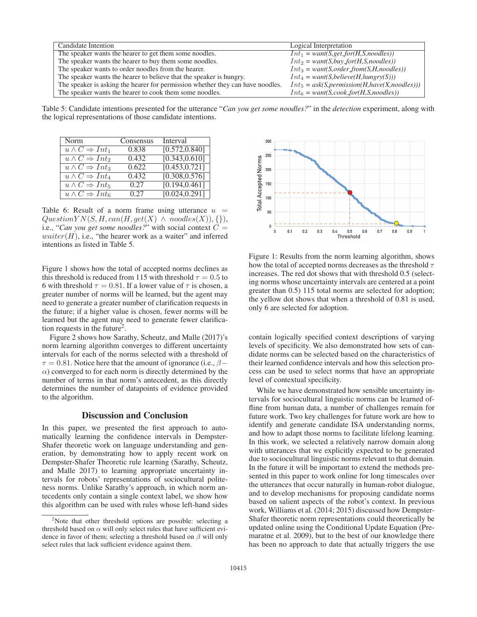| Candidate Intention                                                            | Logical Interpretation                           |
|--------------------------------------------------------------------------------|--------------------------------------------------|
| The speaker wants the hearer to get them some noodles.                         | $Int_1 = want(S, get\_for(H,S,models))$          |
| The speaker wants the hearer to buy them some noodles.                         | $Int_2 = want(S, buy\_for(H, S, noodes))$        |
| The speaker wants to order noodles from the hearer.                            | $Int_3 = want(S, order\_from(S, H, noodes))$     |
| The speaker wants the hearer to believe that the speaker is hungry.            | $Int_4 = want(S, believe(H, hungr)(S)))$         |
| The speaker is asking the hearer for permission whether they can have noodles. | $Int_5 = ask(S, permission(H, have(X, noodes)))$ |
| The speaker wants the hearer to cook them some noodles.                        | $Int_6 = want(S, cosk\_for(H, S, noodes))$       |

Table 5: Candidate intentions presented for the utterance "*Can you get some noodles?*" in the *detection* experiment, along with the logical representations of those candidate intentions.

| Norm                                    | Consensus | Interval                    |
|-----------------------------------------|-----------|-----------------------------|
| $u \wedge C \Rightarrow Int_1$          | 0.838     | [0.572, 0.840]              |
| $u \wedge C \Rightarrow Int_2$          | 0.432     | [0.343, 0.610]              |
| $u \wedge C \Rightarrow Int_3$          | 0.622     | [0.453, 0.721]              |
| $\overline{u\wedge C}\Rightarrow Int_4$ | 0.432     | $\overline{[0.308, 0.576]}$ |
| $u \wedge C \Rightarrow Int_5$          | 0.27      | $\overline{[0.194, 0.461]}$ |
| $u \wedge C \Rightarrow Int_6$          | 0.27      | $\overline{[0.024, 0.291]}$ |

Table 6: Result of a norm frame using utterance  $u =$  $QuestionYN(S, H, can(H, get(X) \wedge nodes(X)), \{\}),$ i.e., "*Can you get some noodles?*" with social context  $C =$  $water(H)$ , i.e., "the hearer work as a waiter" and inferred intentions as listed in Table 5.

Figure 1 shows how the total of accepted norms declines as this threshold is reduced from 115 with threshold  $\tau = 0.5$  to 6 with threshold  $\tau = 0.81$ . If a lower value of  $\tau$  is chosen, a greater number of norms will be learned, but the agent may need to generate a greater number of clarification requests in the future; if a higher value is chosen, fewer norms will be learned but the agent may need to generate fewer clarification requests in the future<sup>2</sup>.

Figure 2 shows how Sarathy, Scheutz, and Malle (2017)'s norm learning algorithm converges to different uncertainty intervals for each of the norms selected with a threshold of  $\tau = 0.81$ . Notice here that the amount of ignorance (i.e.,  $\beta$  –  $\alpha$ ) converged to for each norm is directly determined by the number of terms in that norm's antecedent, as this directly determines the number of datapoints of evidence provided to the algorithm.

# Discussion and Conclusion

In this paper, we presented the first approach to automatically learning the confidence intervals in Dempster-Shafer theoretic work on language understanding and generation, by demonstrating how to apply recent work on Dempster-Shafer Theoretic rule learning (Sarathy, Scheutz, and Malle 2017) to learning appropriate uncertainty intervals for robots' representations of sociocultural politeness norms. Unlike Sarathy's approach, in which norm antecedents only contain a single context label, we show how this algorithm can be used with rules whose left-hand sides



Figure 1: Results from the norm learning algorithm, shows how the total of accepted norms decreases as the threshold  $\tau$ increases. The red dot shows that with threshold 0.5 (selecting norms whose uncertainty intervals are centered at a point greater than 0.5) 115 total norms are selected for adoption; the yellow dot shows that when a threshold of 0.81 is used, only 6 are selected for adoption.

contain logically specified context descriptions of varying levels of specificity. We also demonstrated how sets of candidate norms can be selected based on the characteristics of their learned confidence intervals and how this selection process can be used to select norms that have an appropriate level of contextual specificity.

While we have demonstrated how sensible uncertainty intervals for sociocultural linguistic norms can be learned offline from human data, a number of challenges remain for future work. Two key challenges for future work are how to identify and generate candidate ISA understanding norms, and how to adapt those norms to facilitate lifelong learning. In this work, we selected a relatively narrow domain along with utterances that we explicitly expected to be generated due to sociocultural linguistic norms relevant to that domain. In the future it will be important to extend the methods presented in this paper to work online for long timescales over the utterances that occur naturally in human-robot dialogue, and to develop mechanisms for proposing candidate norms based on salient aspects of the robot's context. In previous work, Williams et al. (2014; 2015) discussed how Dempster-Shafer theoretic norm representations could theoretically be updated online using the Conditional Update Equation (Premaratne et al. 2009), but to the best of our knowledge there has been no approach to date that actually triggers the use

<sup>&</sup>lt;sup>2</sup>Note that other threshold options are possible: selecting a threshold based on  $\alpha$  will only select rules that have sufficient evidence in favor of them; selecting a threshold based on  $\beta$  will only select rules that lack sufficient evidence against them.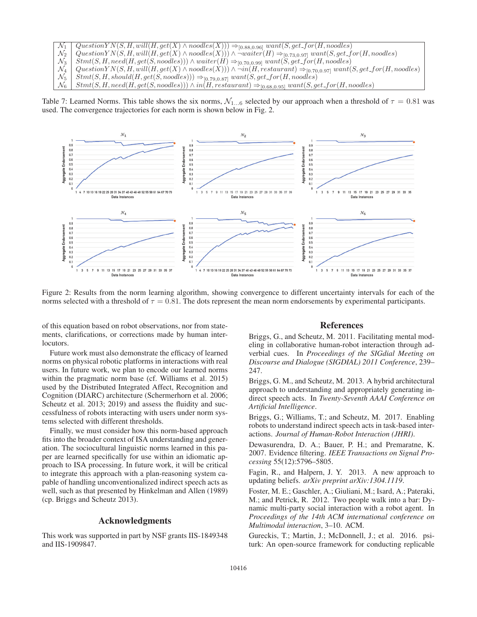| $\mathcal{N}_1$ Question $YN(S, H, will (H, get(X) \wedge nodes(X))) \Rightarrow_{[0.88, 0.96]} want(S, get\_for(H, nodes))$                                  |
|---------------------------------------------------------------------------------------------------------------------------------------------------------------|
| $\mathcal{N}_2$ Question $YN(S, H, will (H, get(X) \wedge nodes(X))) \wedge \neg water(H) \Rightarrow_{[0.73, 0.97]} want(S, get-for(H, nodes))$              |
| $\mathcal{N}_3$   Stmt(S, H, need(H, get(S, noodles))) $\land$ waiter(H) $\Rightarrow$ [0.70,0.99] want(S, get_for(H, noodles)                                |
| $\mathcal{N}_4$   Question Y N(S, H, will(H, get(X) $\land$ noodles(X))) $\land \neg in(H, restaurant) \Rightarrow_{[0.70,0.97]} want(S, get\_for(H, nodes))$ |
| $\mathcal{N}_5$   $Stmt(S, H, should (H, get(S, noodes))) \Rightarrow_{[0.79, 0.87]} want(S, get\_for(H, noodes))$                                            |
| $\mathcal{N}_6$   Stmt(S, H, need(H, get(S, noodles))) $\land$ in(H, restaurant) $\Rightarrow$ [0.68,0.95] want(S, get_for(H, noodles)                        |

Table 7: Learned Norms. This table shows the six norms,  $\mathcal{N}_{1...6}$  selected by our approach when a threshold of  $\tau = 0.81$  was used. The convergence trajectories for each norm is shown below in Fig. 2.



Figure 2: Results from the norm learning algorithm, showing convergence to different uncertainty intervals for each of the norms selected with a threshold of  $\tau = 0.81$ . The dots represent the mean norm endorsements by experimental participants.

of this equation based on robot observations, nor from statements, clarifications, or corrections made by human interlocutors.

Future work must also demonstrate the efficacy of learned norms on physical robotic platforms in interactions with real users. In future work, we plan to encode our learned norms within the pragmatic norm base (cf. Williams et al. 2015) used by the Distributed Integrated Affect, Recognition and Cognition (DIARC) architecture (Schermerhorn et al. 2006; Scheutz et al. 2013; 2019) and assess the fluidity and successfulness of robots interacting with users under norm systems selected with different thresholds.

Finally, we must consider how this norm-based approach fits into the broader context of ISA understanding and generation. The sociocultural linguistic norms learned in this paper are learned specifically for use within an idiomatic approach to ISA processing. In future work, it will be critical to integrate this approach with a plan-reasoning system capable of handling unconventionalized indirect speech acts as well, such as that presented by Hinkelman and Allen (1989) (cp. Briggs and Scheutz 2013).

# Acknowledgments

This work was supported in part by NSF grants IIS-1849348 and IIS-1909847.

### References

Briggs, G., and Scheutz, M. 2011. Facilitating mental modeling in collaborative human-robot interaction through adverbial cues. In *Proceedings of the SIGdial Meeting on Discourse and Dialogue (SIGDIAL) 2011 Conference*, 239– 247.

Briggs, G. M., and Scheutz, M. 2013. A hybrid architectural approach to understanding and appropriately generating indirect speech acts. In *Twenty-Seventh AAAI Conference on Artificial Intelligence*.

Briggs, G.; Williams, T.; and Scheutz, M. 2017. Enabling robots to understand indirect speech acts in task-based interactions. *Journal of Human-Robot Interaction (JHRI)*.

Dewasurendra, D. A.; Bauer, P. H.; and Premaratne, K. 2007. Evidence filtering. *IEEE Transactions on Signal Processing* 55(12):5796–5805.

Fagin, R., and Halpern, J. Y. 2013. A new approach to updating beliefs. *arXiv preprint arXiv:1304.1119*.

Foster, M. E.; Gaschler, A.; Giuliani, M.; Isard, A.; Pateraki, M.; and Petrick, R. 2012. Two people walk into a bar: Dynamic multi-party social interaction with a robot agent. In *Proceedings of the 14th ACM international conference on Multimodal interaction*, 3–10. ACM.

Gureckis, T.; Martin, J.; McDonnell, J.; et al. 2016. psiturk: An open-source framework for conducting replicable